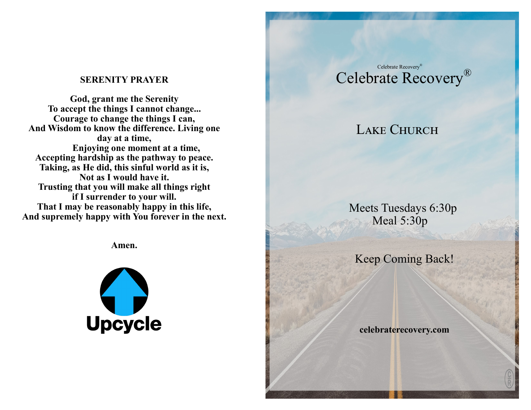# **SERENITY PRAYER**

**God, grant me the Serenity To accept the things I cannot change... Courage to change the things I can, And Wisdom to know the difference. Living one day at a time, Enjoying one moment at a time, Accepting hardship as the pathway to peace. Taking, as He did, this sinful world as it is, Not as I would have it. Trusting that you will make all things right if I surrender to your will. That I may be reasonably happy in this life, And supremely happy with You forever in the next.**

**Amen.**



# Celebrate Recovery® Celebrate Recovery®

# LAKE CHURCH

 Meets Tuesdays 6:30p Meal 5:30p

Keep Coming Back!

 **celebraterecovery.com**